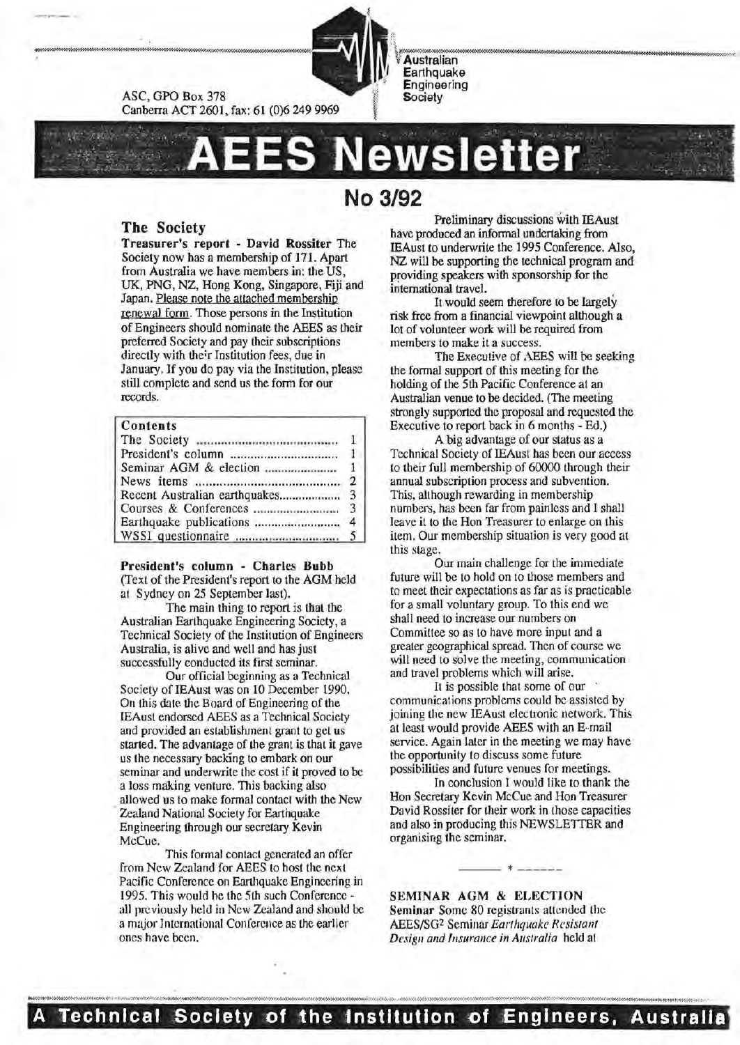

Canberra ACT 2601, fax: 61 (0)6 249 9969 ewsletter

# **No 3/92**

**Australian** Earthquake Engineering Society

## The Society

ASC, GPO Box 378

Treasurer's report - David Rossiter The Society now has a membership of 171. Apart from Australia we have members in: the US, UK, PNG, NZ, Hong Kong, Singapore, Fiji and Japan. Please note the attached membership renewal form. Those persons in the Institution of Engineers should nominate the AEES as their preferred Society and pay their subscriptions directly with the'r Institution fees, due in January. If you do pay via the Institution, please still complete and send us the form for our records.

## Contents

President's column - Charles Bubb (Text of the President's report to the AGM held at Sydney on 25 September last).

The main thing to report is that the Australian Earthquake Engineering Society, a Technical Society of the Institution of Engineers Australia, is alive and well and has just successfully conducted its first seminar.

Our official beginning as a Technical Society of IEAust was on 10 December 1990. On this date the Board of Engineering of the IEAust endorsed AEES as a Technical Society and provided an establishment grant to get us started. The advantage of the grant is that it gave us the necessary backing to embark on our seminar and underwrite the cost if it proved to be a loss making venture. This backing also allowed us to make formal contact with the New Zealand National Society for Earthquake Engineering through our secretary Kevin McCue.

This formal contact generated an offer from New Zealand for AEES to host the next Pacific Conference on Earthquake Engineering in 1995. This would he the 5th such Conference all previously held in New Zealand and should be a major International Conference as the earlier ones have been.

Preliminary discussions with IEAust have produced an informal undertaking from IEAust to underwrite the 1995 Conference. Also, NZ will be supporting the technical program and providing speakers with sponsorship for the international travel.

It would seem therefore to be largely risk free from a financial viewpoint although a lot of volunteer work will be required from members to make it a success.

The Executive of AEES will be seeking the formal support of this meeting for the holding of the 5th Pacific Conference at an Australian venue to be decided. (The meeting strongly supported the proposal and requested the Executive to report back in 6 months - Ed.)

A big advantage of our status as a Technical Society of IEAust has been our access to their full membership of 60000 through their annual subscription process and subvention. This, allhough rewarding in membership numbers, has been far from painless and I shall leave it to the Hon Treasurer to enlarge on this item. Our membership situation is very good at this stage.

Our main challenge for the immediate future will be to hold on to those members and to meet their expectations as far as is practicable for a small voluntary group. To this end we shall need to increase our numbers on Committee so as to have more input and a greater geographical spread. Then of course we will need to solve the meeting, communication and travel problems which will arise.

It is possible that some of our communications problems could be assisted by joining the new lEAust electronic network. This at least would provide AEES with an E-·rnail service. Again later in the meeting we may have the opportunity to discuss some future possibilities and future venues for meetings.

In conclusion I would like to thank the Hon Secretary Kevin McCue and Hon Treasurer David Rossiter for their work in those capacities and also in producing this NEWSLETTER and organising the seminar. --- \*------

SEMINAR AGM & ELECTION Seminar Some 80 registrants attended the AEES/SG2 Seminar *Earthquake Resistant Design and Insurance in Australia* held at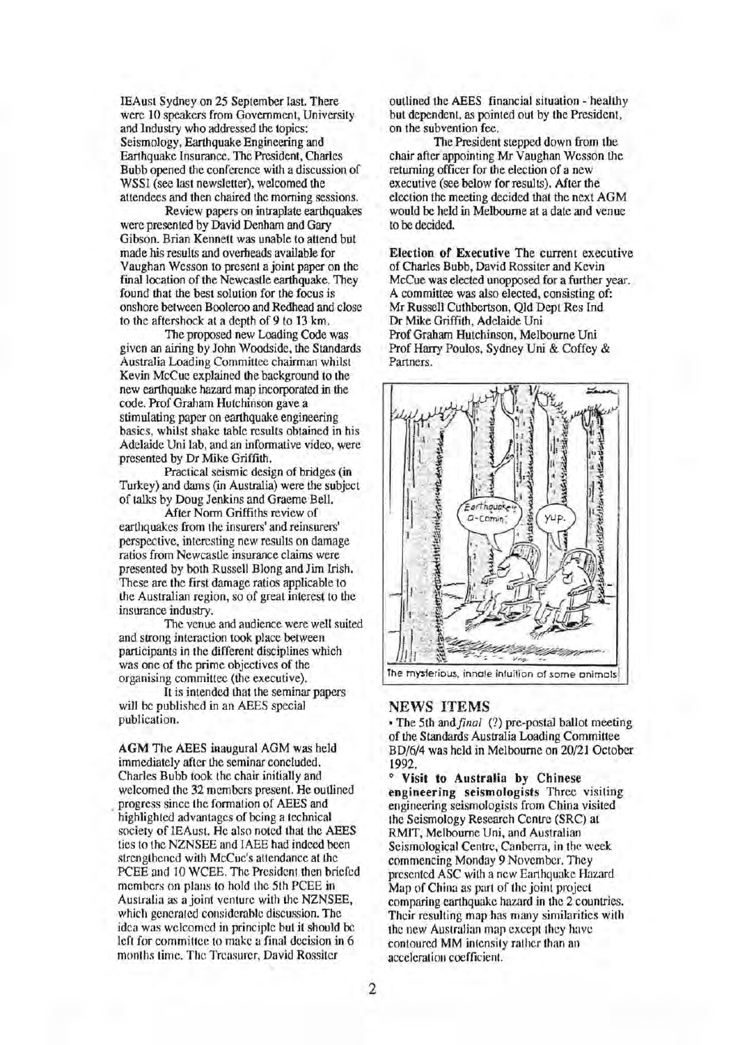IEAust Sydney on 25 September last. There were 10 speakers from Government, University and Industry who addressed the topics: Seismology, Earthquake Engineering and Earthquake Insurance. The President, Charles Bubb opened the conference with a discussion of WSSI (see last newsletter), welcomed the attendees and then chaired the morning sessions.

Review papers on intraplate earthquakes were presented by David Denham and Gary Gibson. Brian Kennett was unable to attend but made his results and overheads available for Vaughan Wesson to present a joint paper on the final location of the Newcastle earthquake. They found that the best solution for the focus is onshore between Booleroo and Redhead and close to the aftershock at a depth of 9 to 13 km.

The proposed new Loading Code was given an airing by John Woodside, the Standards Australia Loading Committee chairman whilst Kevin McCue explained the background to the new earthquake hazard map incorporated in the code. Prof Graham Hutchinson gave a stimulating paper on earthquake engineering basics, whilst shake table results obtained in his Adelaide Uni lab, and an informative video, were presented by Dr Mike Griffith.

Practical seismic design of bridges (in Turkey) and dams (in Australia) were the subject of talks by Doug Jenkins and Graeme Bell.

After Norm Griffiths review of earthquakes from the insurers' and reinsurers' perspective, interesting new results on damage ratios from Newcastle insurance claims were presented by both Russell Blong and Jim Irish. These are the first damage ratios applicable to the Australian region, so of great interest to the insurance industry.

The venue and audience were well suited and strong interaction took place between participants in the different disciplines which was one of the prime objectives of the organising committee (the executive).

It is intended that the seminar papers will be published in an AEES special publication.

AGM The AEES inaugural AGM was held immediately after the seminar concluded. Charles Bubb took the chair initially and welcomed the 32 members present. He outlined . progress since the formation of AEES and highlighted advantages of being a technical society of IEAust. He also noted that the AEES ties to the NZNSEE and IAEE had indeed been strengthened with McCue's attendance at the PCEE and 10 WCEE. The President then briefed members on plans to hold the 5th PCEE in Australia as a joint venture with the NZNSEE, which generated considerable discussion. The idea was welcomed in principle but it should be left for committee to make a final decision in 6 months time. The Treasurer, David Rossiter

outlined the AEES financial situation - healthy but dependent, as pointed out by the President, on the subvention fee.

The President stepped down from the chair after appointing Mr Vaughan Wesson the returning officer for the election of a new executive (see below for results). After the election the meeting decided that the next AGM would be held in Melbourne at a date and venue to be decided.

Election of Executive The current executive of Charles Bubb, David Rossiter and Kevin McCue was elected unopposed for a further year. A committee was also elected, consisting of: Mr Russell Cuthbertson, Qld Dept Res Ind Dr Mike Griffith, Adelaide Uni Prof Graham Hutchinson, Melbourne Uni Prof Harry Poulos, Sydney Uni & Coffey & Partners.



#### NEWS ITEMS

• The 5th and *final* (?) pre-postal ballot meeting of the Standards Australia Loading Committee BD/6/4 was held in Melbourne on 20/21 October 1992.

0 Visit to Australia by Chinese engineering seismologists Three visiting engineering seismologists from China visited the Seismology Research Centre (SRC) at RMIT, Melbourne Uni, and Australian Seismological Centre, Canberra, in the week commencing Monday 9 November. They presented ASC with a new Earthquake Hazard Map of China as part of the joint project comparing earthquake hazard in the 2 countries. Their resulting map has many similarities with the new Australian map except they have contoured MM intensity rather than an acceleration coefficient.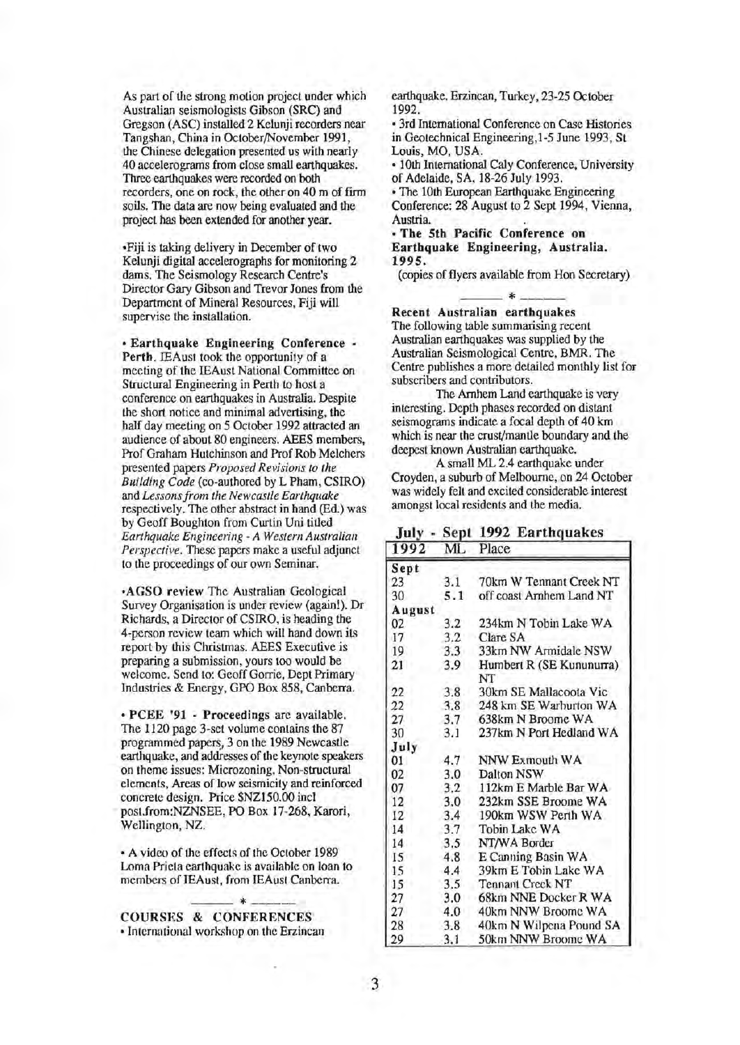As part of the strong motion project under which Australian seismologists Gibson (SRC) and Gregson (ASC) installed 2 Kelunji recorders near Tangshan, China in October/November 1991, the Chinese delegation presented us with nearly 40 accelerograms from close small earthquakes. Three earthquakes were recorded on both recorders, one on rock, the other on 40 m of firm soils. The data are now being evaluated and the project has been extended for another year.

•Fiji is taking delivery in December of two Kelunji digital accelerographs for monitoring 2 darns. The Seismology Research Centre's Director Gary Gibson and Trevor Jones from the Department of Mineral Resources, Fiji will supervise the installation.

• Earthquake Engineering Conference - Perth. IEAust took the opportunity of a meeting of the IEAust National Committee on Structural Engineering in Perth to host a conference on earthquakes in Australia. Despite the short notice and minimal advertising, the half day meeting on 5 October 1992 attracted an audience of about 80 engineers. AEES members, Prof Graham Hutchinson and Prof Rob Melchers presented papers *Proposed Revisions to the Building Code* (co-authored by L Pham, CSIRO) and *Lessons from the Newcastle Earthquake*  respectively. The other abstract in hand (Ed.) was by Geoff Boughton from Curtin Uni titled *Earthquake Engineering- A Western Australian Perspective.* These papers make a useful adjunct to the proceedings of our own Seminar.

•AGSO review The Australian Geological Survey Organisation is under review (again!). Dr Richards, a Director of CSIRO, is heading the 4-person review team which will hand down its report by this Christmas. AEES Executive is preparing a submission, yours too would be welcome. Send to: Geoff Gorrie, Dept Primary Industries & Energy, GPO Box 858, Canberra.

• PCEE '91 - Proceedings arc available. The 1120 page 3-set volume contains the 87 programmed papers, 3 on the 1989 Newcastle earthquake, and addresses of the keynote speakers on theme issues: Microzoning, Non-structural elements, Areas of low seismicity and reinforced concrete design. Price \$NZ150.00 incl post.from:NZNSEE, PO Box 17-268, Karori, Wellington, NZ.

• A video of the effects of the October 1989 Lorna Prieta earthquake is available on loan to members of IEAust, from IEAusl Canberra.

COURSES & CONFERENCES • International workshop on the Erzincan earthquake. Erzincan, Turkey, 23-25 October 1992.

• 3rd International Conference on Case Histories in Geotechnical Engineering,1-5 June 1993, St Louis, MO, USA.

• lOth International Caly Conference, University of Adelaide, SA, 18-26 July 1993.

• The lOth European Earthquake Engineering Conference: 28 August to 2 Sept 1994, Vienna, Austria.

• The 5th Pacific Conference on Earthquake Engineering, Australia. 1995.

(copies of flyers available from Hon Secretary) --- \*----

#### Recent Australian earthquakes

The following table summarising recent Australian earthquakes was supplied by the Australian Seismological Centre, BMR. The Centre publishes a more detailed monthly list for subscribers and contributors.

The Arnhem Land earthquake is very interesting. Depth phases recorded on distant seismograms indicate a focal depth of 40 km which is near the crust/mantle boundary and the deepest known Australian earthquake.

A small ML 2.4 earthquake under Croyden, a suburb of Melboume, on 24 October was widely felt and excited considerable interest amongst local residents and the media.

July - Sept 1992 Earthquakes

| 1992   | ML  | Place                          |
|--------|-----|--------------------------------|
| Sept   |     |                                |
| 23     | 3.1 | 70km W Tennant Creek NT        |
| 30     | 5.1 | off coast Arnhem Land NT       |
| August |     |                                |
| 02     | 3.2 | 234km N Tobin Lake WA          |
| 17     | 3.2 | Clare SA                       |
| 19     | 3.3 | 33km NW Armidale NSW           |
| 21     | 3.9 | Humbert R (SE Kununurra)<br>NT |
| 22     | 3.8 | 30km SE Mallacoota Vic         |
| 22     | 3.8 | 248 km SE Warburton WA         |
| 27     | 3.7 | 638km N Broome WA              |
| 30     | 3.1 | 237km N Port Hedland WA        |
| July   |     |                                |
| 01     | 4.7 | NNW Exmouth WA                 |
| 02     | 3.0 | Dalton NSW                     |
| 07     | 3.2 | 112km E Marble Bar WA          |
| 12     | 3.0 | 232km SSE Broome WA            |
| 12     | 3.4 | 190km WSW Perth WA             |
| 14     | 3.7 | <b>Tobin Lake WA</b>           |
| 14     | 3.5 | NT/WA Border                   |
| 15     | 4.8 | E Canning Basin WA             |
| 15     | 4.4 | 39km E Tobin Lake WA           |
| 15     | 3.5 | <b>Tennant Creek NT</b>        |
| 27     | 3.0 | 68km NNE Docker R WA           |
| 27     | 4.0 | 40km NNW Broome WA             |
| 28     | 3.8 | 40km N Wilpena Pound SA        |
| 29     | 3.1 | 50km NNW Broome WA             |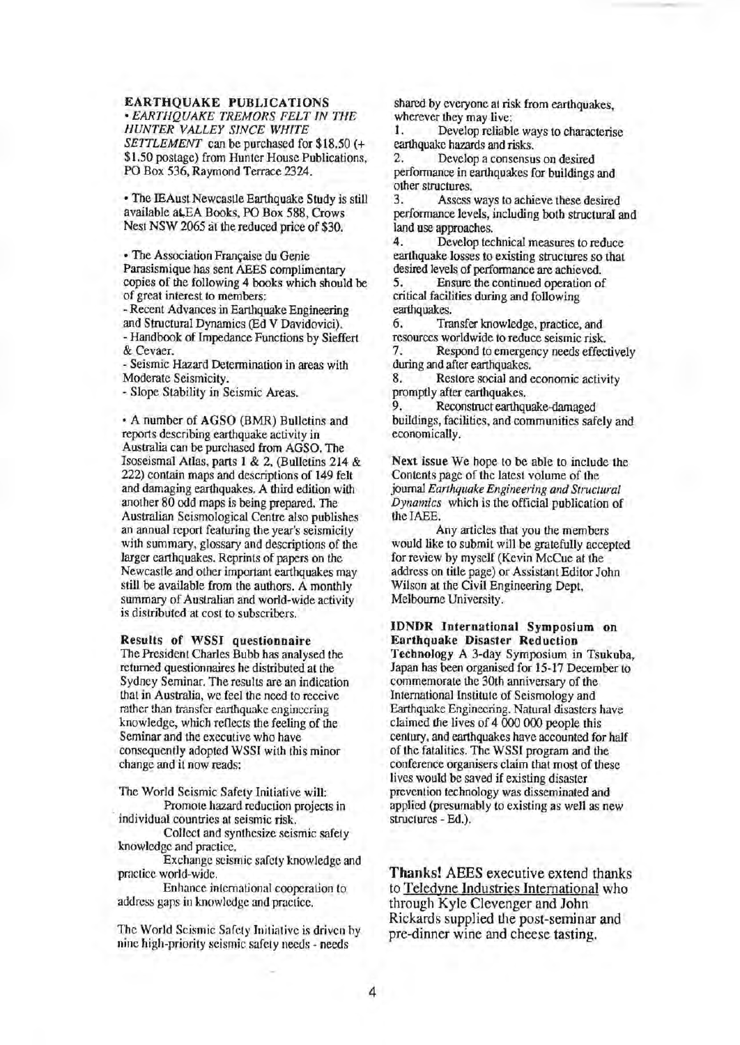## EARTHQUAKE PUBLICATIONS

• *EARTHQUAKE TREMORS FELT IN THE HUNTER VALLEY SINCE WHITE SETTLEMENT* can be purchased for \$18.50 (+ \$1.50 postage) from Hunter House Publications. PO Box 536, Raymond Terrace 2324.

• The IEAust Newcastle Earthquake Study is still available aL,EA Books, PO Box 588, Crows Nest NSW 2065 at the reduced price of \$30.

• The Association Française du Genie Parasismique has sent AEES complimentary copies of the following 4 books which should be of great interest to members:

- Recent Advances in Earthquake Engineering and Structural Dynamics {Ed V Davidovici). - Handbook of Impedance Functions by Sieffert & Cevaer.

-Seismic Hazard Determination in areas with Moderate Seismicity.

- Slope Stability in Seismic Areas.

• A number of AGSO (BMR) Bulletins and reports describing earthquake activity in Australia can be purchased from AGSO. The Isoseismal Atlas, parts 1 & 2, (Bulletins 214 & 222) contain maps and descriptions of 149 felt and damaging earthquakes. A third edition with another 80 odd maps is being prepared. The Australian Seismological Centre also publishes an annual report featuring the year's seismicity with summary, glossary and descriptions of the larger earthquakes. Reprints of papers on the Newcastle and other important earthquakes may still be available from the authors. A monthly summary of Auslralian and world-wide activity is distributed at cost to subscribers.

# Results of WSSI questionnaire

The President Charles Bubb has analysed the returned questionnaires he distributed at the Sydney Seminar. The results are an indication that in Australia, we feel the need to receive rather than transfer earthquake engineering knowledge, which reflects the feeling of the Seminar and the executive who have consequently adopted WSSI with this minor change and it now reads:

The World Seismic Safety Initiative will: Promote hazard reduction projects in

individual countries at seismic risk. Collect and synthesize seismic safety knowledge and practice.

Exchange seismic safety knowledge and practice world-wide.

Enhance international cooperation to address gaps in knowledge and practice.

The World Seismic Safety Initiative is driven by nine high-priority seismic safety needs - needs

shared by everyone at risk from earthquakes, wherever they may live:<br>1. Develop reliable

1. Develop reliable ways to characterise earthquake hazards and risks.<br>2. Develop a consensu-

Develop a consensus on desired performance in earthquakes for buildings and other structures.

Assess ways to achieve these desired performance levels, including *both* structural and land use approaches.<br>4. Develop tec

4. Develop technical measures to reduce earthquake losses to existing structures so that desired levels of performance are achieved.<br>5. Ensure the continued operation of

5. Ensure the continued operation of critical facilities during and following earthquakes.

6. Transfer knowledge, practice, and resources worldwide to reduce seismic risk.

7. Respond to emergency needs effectively during and after earthquakes.

8. Restore social and economic activity promptly after earthquakes.

9. Reconstruct earthquake-damaged buildings, facilities, and communities safely and economically.

Next issue We hope to be able to include the Contents page of the latest volume of the journal *Earthquake Engineering and Structural Dynamics* which is the official publication of the IAEE.

Any articles that you the members would like to submit will be gratefully accepted for review by myself (Kevin McCue at the address on title page) or Assistant Editor John Wilson at the Civil Engineering Dept, Melbourne University.

IDNDR International Symposium on Earthquake Disaster Reduction Technology A 3-day Symposium in Tsukuba, Japan has been organised for 15-17 December to commemorate the 30th anniversary of the International Institute of Seismology and Earthquake Engineering. Natural disasters have claimed the lives of 4 000 000 people this century, and earthquakes have accounted for half of the fatalities. The WSSI program and the conference organisers claim that most of these lives would be saved if existing disaster prevention technology was disseminated and applied (presumably to existing as well as new structures - Ed.).

Thanks! AEES executive extend thanks to Teledyne Industries International who through Ky1e Clevenger and John Rickards supplied the post-seminar and pre-dinner wine and cheese tasting.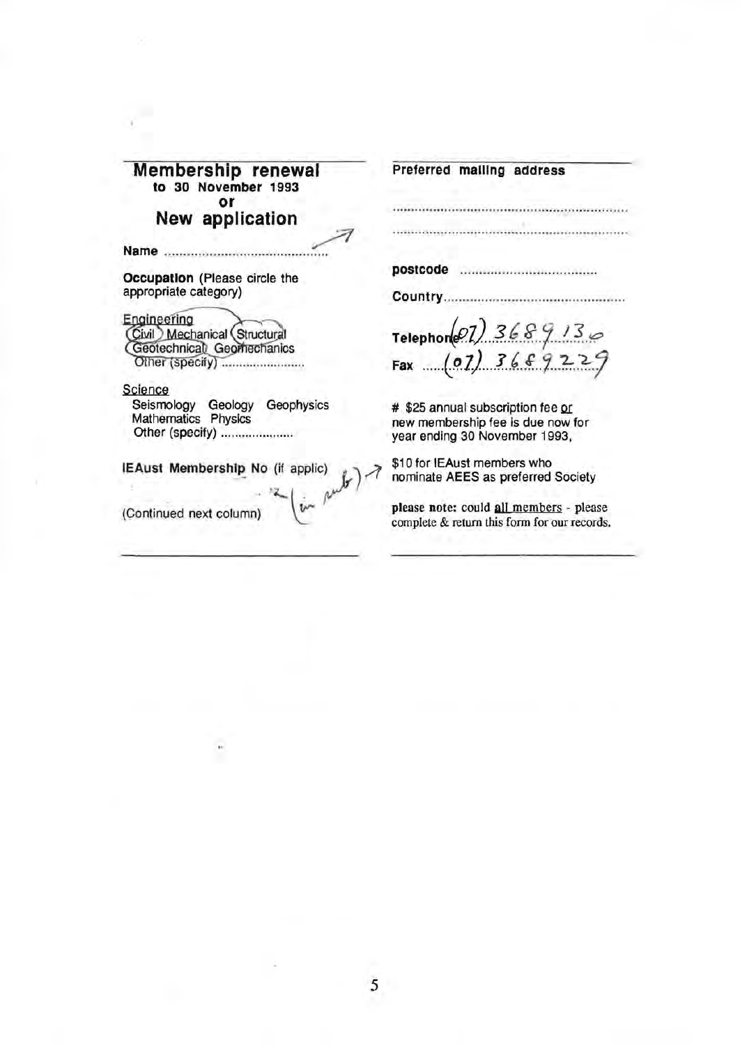| Membership renewal<br>to 30 November 1993<br>٥r                                             | Preferred mailing address                                                                               |
|---------------------------------------------------------------------------------------------|---------------------------------------------------------------------------------------------------------|
| New application                                                                             |                                                                                                         |
|                                                                                             |                                                                                                         |
| Occupation (Please circle the                                                               |                                                                                                         |
| appropriate category)                                                                       | <b>Country</b>                                                                                          |
| Engineering<br>Civil Mechanical (Structural<br>Geotechnical Geomechanics<br>Other (specify) | Telephone 27) 3689136<br>Fax (07) 3689229                                                               |
| Science                                                                                     |                                                                                                         |
| Geophysics<br>Seismology<br>Geology<br>Mathematics Physics<br>Other (specify)               | # \$25 annual subscription fee or<br>new membership fee is due now for<br>year ending 30 November 1993, |
| <b>IEAust Membership No (if applic)</b><br>$\frac{1}{2}$ and $\frac{1}{2}$                  | \$10 for IEAust members who<br>nominate AEES as preferred Society                                       |
| (Continued next column)                                                                     | please note: could all members - please<br>complete & return this form for our records.                 |

-3

 $\ddot{\phantom{0}}$ 

ė